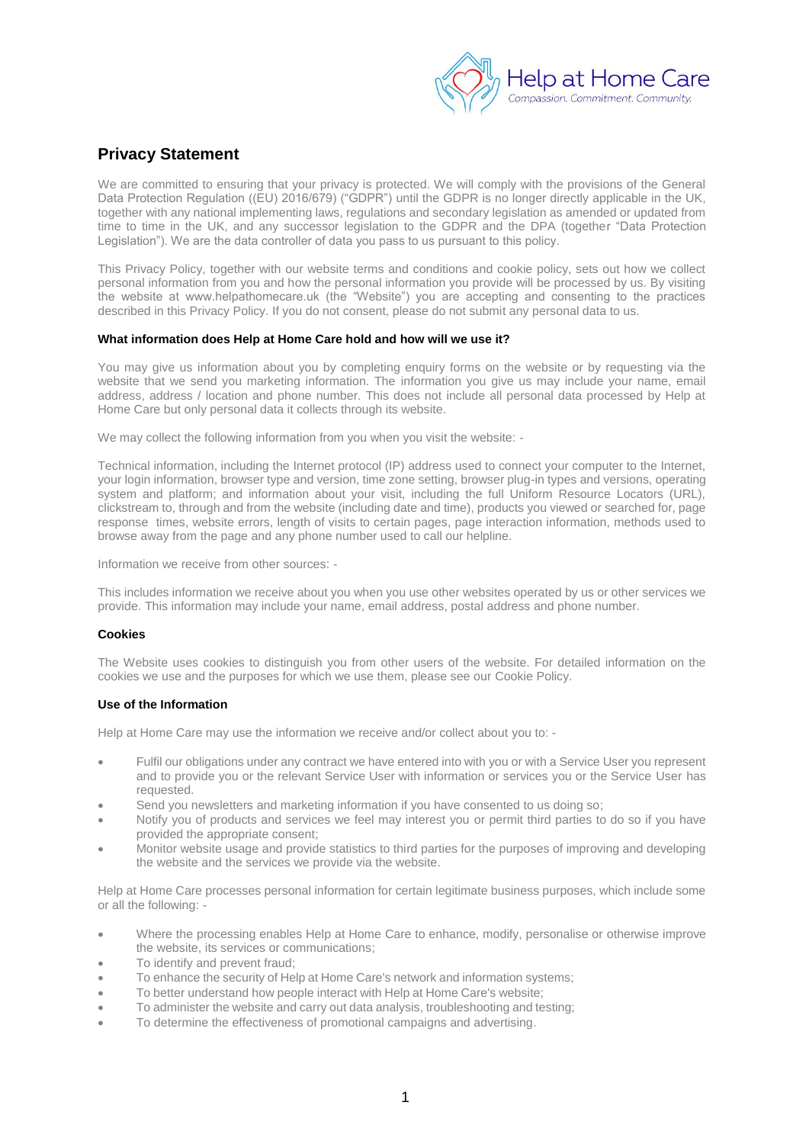

# **Privacy Statement**

We are committed to ensuring that your privacy is protected. We will comply with the provisions of the General Data Protection Regulation ((EU) 2016/679) ("GDPR") until the GDPR is no longer directly applicable in the UK, together with any national implementing laws, regulations and secondary legislation as amended or updated from time to time in the UK, and any successor legislation to the GDPR and the DPA (together "Data Protection Legislation"). We are the data controller of data you pass to us pursuant to this policy.

This Privacy Policy, together with our website terms and conditions and cookie policy, sets out how we collect personal information from you and how the personal information you provide will be processed by us. By visiting the website at www.helpathomecare.uk (the "Website") you are accepting and consenting to the practices described in this Privacy Policy. If you do not consent, please do not submit any personal data to us.

### **What information does Help at Home Care hold and how will we use it?**

You may give us information about you by completing enquiry forms on the website or by requesting via the website that we send you marketing information. The information you give us may include your name, email address, address / location and phone number. This does not include all personal data processed by Help at Home Care but only personal data it collects through its website.

We may collect the following information from you when you visit the website: -

Technical information, including the Internet protocol (IP) address used to connect your computer to the Internet, your login information, browser type and version, time zone setting, browser plug-in types and versions, operating system and platform; and information about your visit, including the full Uniform Resource Locators (URL), clickstream to, through and from the website (including date and time), products you viewed or searched for, page response times, website errors, length of visits to certain pages, page interaction information, methods used to browse away from the page and any phone number used to call our helpline.

Information we receive from other sources: -

This includes information we receive about you when you use other websites operated by us or other services we provide. This information may include your name, email address, postal address and phone number.

## **Cookies**

The Website uses cookies to distinguish you from other users of the website. For detailed information on the cookies we use and the purposes for which we use them, please see our Cookie Policy.

## **Use of the Information**

Help at Home Care may use the information we receive and/or collect about you to: -

- Fulfil our obligations under any contract we have entered into with you or with a Service User you represent and to provide you or the relevant Service User with information or services you or the Service User has requested.
- Send you newsletters and marketing information if you have consented to us doing so;
- Notify you of products and services we feel may interest you or permit third parties to do so if you have provided the appropriate consent;
- Monitor website usage and provide statistics to third parties for the purposes of improving and developing the website and the services we provide via the website.

Help at Home Care processes personal information for certain legitimate business purposes, which include some or all the following: -

- Where the processing enables Help at Home Care to enhance, modify, personalise or otherwise improve the website, its services or communications;
- To identify and prevent fraud:
- To enhance the security of Help at Home Care's network and information systems;
- To better understand how people interact with Help at Home Care's website;
- To administer the website and carry out data analysis, troubleshooting and testing;
- To determine the effectiveness of promotional campaigns and advertising.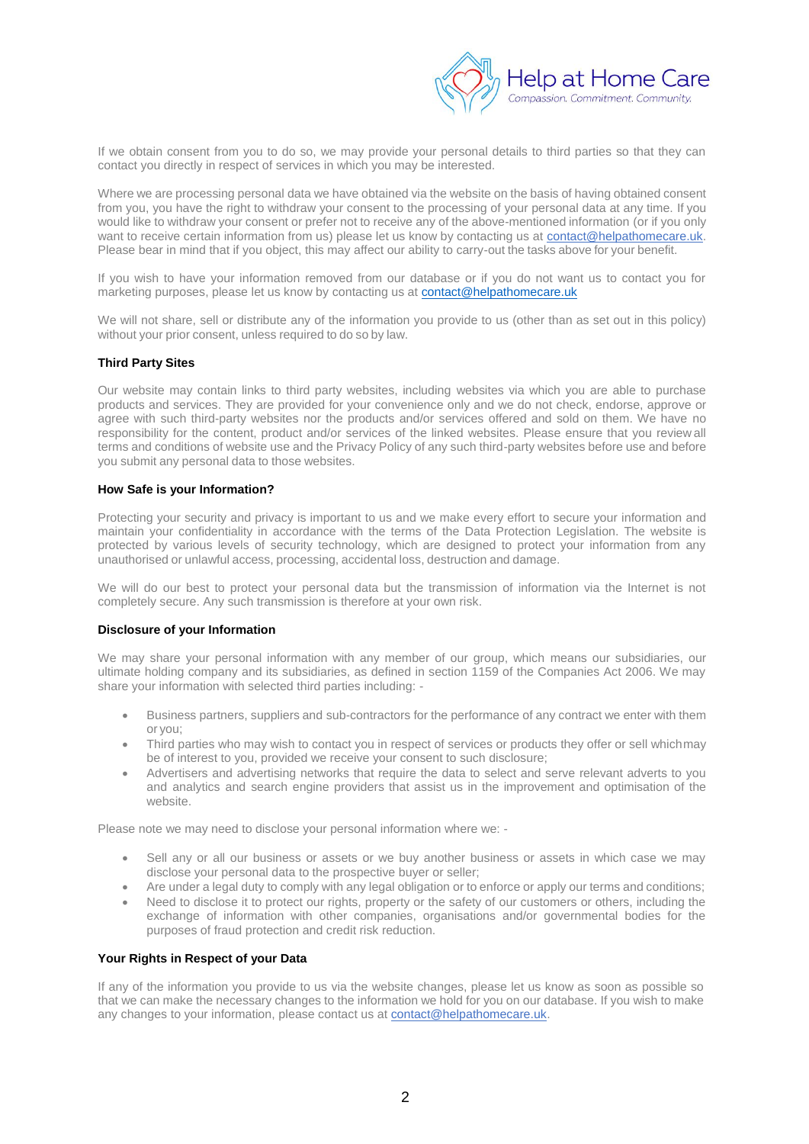

If we obtain consent from you to do so, we may provide your personal details to third parties so that they can contact you directly in respect of services in which you may be interested.

Where we are processing personal data we have obtained via the website on the basis of having obtained consent from you, you have the right to withdraw your consent to the processing of your personal data at any time. If you would like to withdraw your consent or prefer not to receive any of the above-mentioned information (or if you only want to receive certain information from us) please let us know by contacting us at contact@helpathomecare.uk. Please bear in mind that if you object, this may affect our ability to carry-out the tasks above for your benefit.

If you wish to have your information removed from our database or if you do not want us to contact you for marketing purposes, please let us know by contacting us at [contact@helpathomecare.uk](mailto:contact@helpathomecare.uk)

We will not share, sell or distribute any of the information you provide to us (other than as set out in this policy) without your prior consent, unless required to do so by law.

#### **Third Party Sites**

Our website may contain links to third party websites, including websites via which you are able to purchase products and services. They are provided for your convenience only and we do not check, endorse, approve or agree with such third-party websites nor the products and/or services offered and sold on them. We have no responsibility for the content, product and/or services of the linked websites. Please ensure that you review all terms and conditions of website use and the Privacy Policy of any such third-party websites before use and before you submit any personal data to those websites.

#### **How Safe is your Information?**

Protecting your security and privacy is important to us and we make every effort to secure your information and maintain your confidentiality in accordance with the terms of the Data Protection Legislation. The website is protected by various levels of security technology, which are designed to protect your information from any unauthorised or unlawful access, processing, accidental loss, destruction and damage.

We will do our best to protect your personal data but the transmission of information via the Internet is not completely secure. Any such transmission is therefore at your own risk.

#### **Disclosure of your Information**

We may share your personal information with any member of our group, which means our subsidiaries, our ultimate holding company and its subsidiaries, as defined in section 1159 of the Companies Act 2006. We may share your information with selected third parties including: -

- Business partners, suppliers and sub-contractors for the performance of any contract we enter with them or you;
- Third parties who may wish to contact you in respect of services or products they offer or sell whichmay be of interest to you, provided we receive your consent to such disclosure;
- Advertisers and advertising networks that require the data to select and serve relevant adverts to you and analytics and search engine providers that assist us in the improvement and optimisation of the website.

Please note we may need to disclose your personal information where we: -

- Sell any or all our business or assets or we buy another business or assets in which case we may disclose your personal data to the prospective buyer or seller;
- Are under a legal duty to comply with any legal obligation or to enforce or apply our terms and conditions;
- Need to disclose it to protect our rights, property or the safety of our customers or others, including the exchange of information with other companies, organisations and/or governmental bodies for the purposes of fraud protection and credit risk reduction.

#### **Your Rights in Respect of your Data**

If any of the information you provide to us via the website changes, please let us know as soon as possible so that we can make the necessary changes to the information we hold for you on our database. If you wish to make any changes to your information, please contact us at contact@helpathomecare.uk.